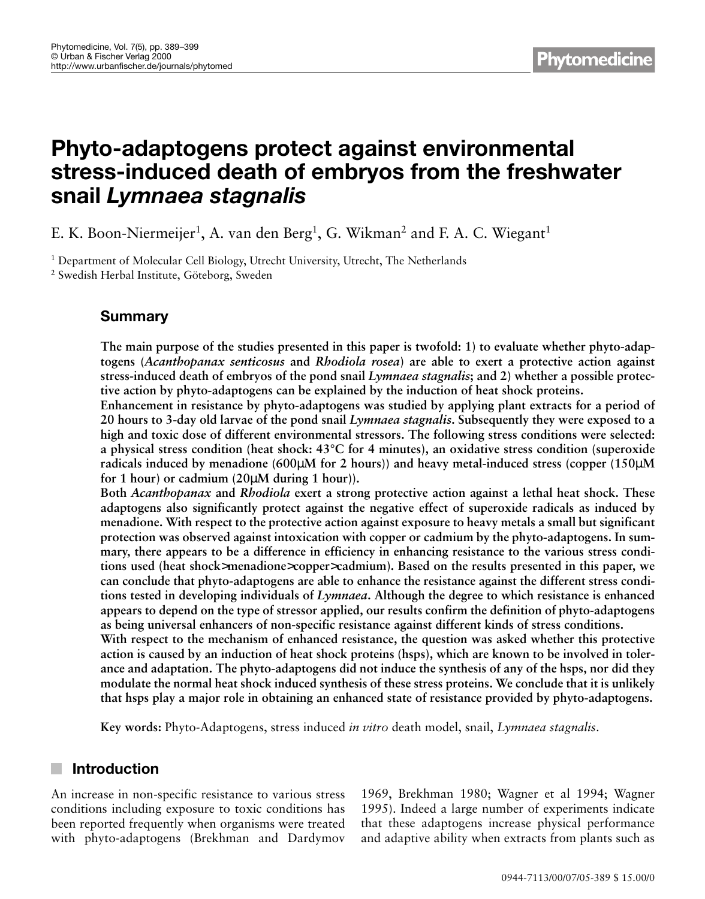# **Phyto-adaptogens protect against environmental stress-induced death of embryos from the freshwater snail** *Lymnaea stagnalis*

E. K. Boon-Niermeijer<sup>1</sup>, A. van den Berg<sup>1</sup>, G. Wikman<sup>2</sup> and F. A. C. Wiegant<sup>1</sup>

<sup>1</sup> Department of Molecular Cell Biology, Utrecht University, Utrecht, The Netherlands <sup>2</sup> Swedish Herbal Institute, Göteborg, Sweden

# **Summary**

**The main purpose of the studies presented in this paper is twofold: 1) to evaluate whether phyto-adaptogens (***Acanthopanax senticosus* **and** *Rhodiola rosea***) are able to exert a protective action against stress-induced death of embryos of the pond snail** *Lymnaea stagnalis***; and 2) whether a possible protective action by phyto-adaptogens can be explained by the induction of heat shock proteins.**

**Enhancement in resistance by phyto-adaptogens was studied by applying plant extracts for a period of 20 hours to 3-day old larvae of the pond snail** *Lymnaea stagnalis***. Subsequently they were exposed to a high and toxic dose of different environmental stressors. The following stress conditions were selected: a physical stress condition (heat shock: 43°C for 4 minutes), an oxidative stress condition (superoxide radicals induced by menadione (600**µ**M for 2 hours)) and heavy metal-induced stress (copper (150**µ**M for 1 hour) or cadmium (20**µ**M during 1 hour)).**

**Both** *Acanthopanax* **and** *Rhodiola* **exert a strong protective action against a lethal heat shock. These adaptogens also significantly protect against the negative effect of superoxide radicals as induced by menadione. With respect to the protective action against exposure to heavy metals a small but significant protection was observed against intoxication with copper or cadmium by the phyto-adaptogens. In summary, there appears to be a difference in efficiency in enhancing resistance to the various stress conditions used (heat shock**>**menadione**>**copper**>**cadmium). Based on the results presented in this paper, we can conclude that phyto-adaptogens are able to enhance the resistance against the different stress conditions tested in developing individuals of** *Lymnaea***. Although the degree to which resistance is enhanced appears to depend on the type of stressor applied, our results confirm the definition of phyto-adaptogens as being universal enhancers of non-specific resistance against different kinds of stress conditions.**

**With respect to the mechanism of enhanced resistance, the question was asked whether this protective action is caused by an induction of heat shock proteins (hsps), which are known to be involved in tolerance and adaptation. The phyto-adaptogens did not induce the synthesis of any of the hsps, nor did they modulate the normal heat shock induced synthesis of these stress proteins. We conclude that it is unlikely that hsps play a major role in obtaining an enhanced state of resistance provided by phyto-adaptogens.**

**Key words:** Phyto-Adaptogens, stress induced *in vitro* death model, snail, *Lymnaea stagnalis*.

# **Introduction**

An increase in non-specific resistance to various stress conditions including exposure to toxic conditions has been reported frequently when organisms were treated with phyto-adaptogens (Brekhman and Dardymov

1969, Brekhman 1980; Wagner et al 1994; Wagner 1995). Indeed a large number of experiments indicate that these adaptogens increase physical performance and adaptive ability when extracts from plants such as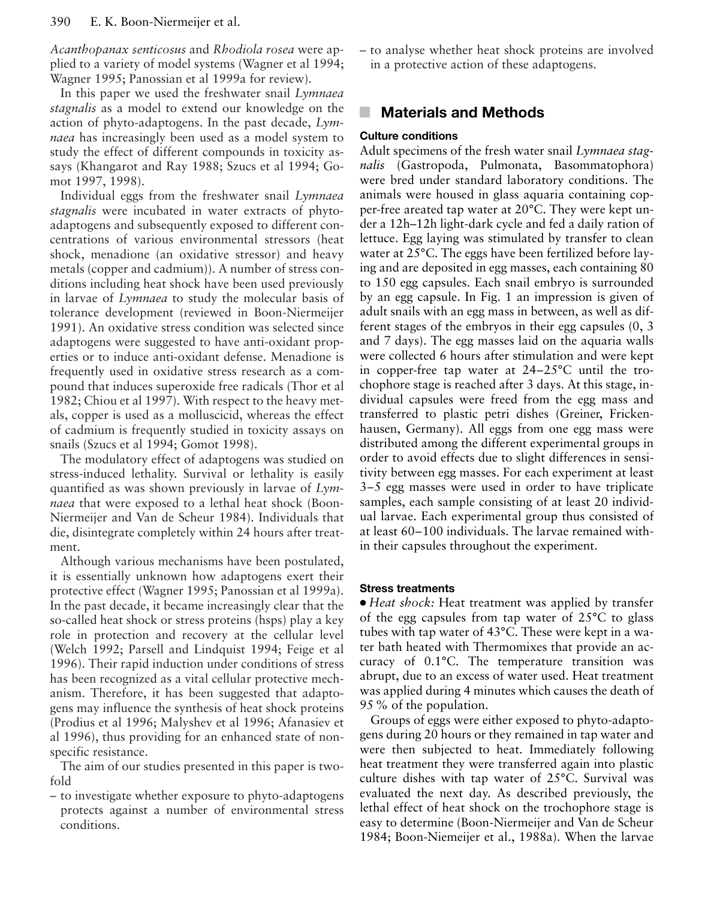*Acanthopanax senticosus* and *Rhodiola rosea* were applied to a variety of model systems (Wagner et al 1994; Wagner 1995; Panossian et al 1999a for review).

In this paper we used the freshwater snail *Lymnaea stagnalis* as a model to extend our knowledge on the action of phyto-adaptogens. In the past decade, *Lymnaea* has increasingly been used as a model system to study the effect of different compounds in toxicity assays (Khangarot and Ray 1988; Szucs et al 1994; Gomot 1997, 1998).

Individual eggs from the freshwater snail *Lymnaea stagnalis* were incubated in water extracts of phytoadaptogens and subsequently exposed to different concentrations of various environmental stressors (heat shock, menadione (an oxidative stressor) and heavy metals (copper and cadmium)). A number of stress conditions including heat shock have been used previously in larvae of *Lymnaea* to study the molecular basis of tolerance development (reviewed in Boon-Niermeijer 1991). An oxidative stress condition was selected since adaptogens were suggested to have anti-oxidant properties or to induce anti-oxidant defense. Menadione is frequently used in oxidative stress research as a compound that induces superoxide free radicals (Thor et al 1982; Chiou et al 1997). With respect to the heavy metals, copper is used as a molluscicid, whereas the effect of cadmium is frequently studied in toxicity assays on snails (Szucs et al 1994; Gomot 1998).

The modulatory effect of adaptogens was studied on stress-induced lethality. Survival or lethality is easily quantified as was shown previously in larvae of *Lymnaea* that were exposed to a lethal heat shock (Boon-Niermeijer and Van de Scheur 1984). Individuals that die, disintegrate completely within 24 hours after treatment.

Although various mechanisms have been postulated, it is essentially unknown how adaptogens exert their protective effect (Wagner 1995; Panossian et al 1999a). In the past decade, it became increasingly clear that the so-called heat shock or stress proteins (hsps) play a key role in protection and recovery at the cellular level (Welch 1992; Parsell and Lindquist 1994; Feige et al 1996). Their rapid induction under conditions of stress has been recognized as a vital cellular protective mechanism. Therefore, it has been suggested that adaptogens may influence the synthesis of heat shock proteins (Prodius et al 1996; Malyshev et al 1996; Afanasiev et al 1996), thus providing for an enhanced state of nonspecific resistance.

The aim of our studies presented in this paper is twofold

– to investigate whether exposure to phyto-adaptogens protects against a number of environmental stress conditions.

– to analyse whether heat shock proteins are involved in a protective action of these adaptogens.

# **Materials and Methods**

#### **Culture conditions**

Adult specimens of the fresh water snail *Lymnaea stagnalis* (Gastropoda, Pulmonata, Basommatophora) were bred under standard laboratory conditions. The animals were housed in glass aquaria containing copper-free areated tap water at 20°C. They were kept under a 12h–12h light-dark cycle and fed a daily ration of lettuce. Egg laying was stimulated by transfer to clean water at 25°C. The eggs have been fertilized before laying and are deposited in egg masses, each containing 80 to 150 egg capsules. Each snail embryo is surrounded by an egg capsule. In Fig. 1 an impression is given of adult snails with an egg mass in between, as well as different stages of the embryos in their egg capsules (0, 3 and 7 days). The egg masses laid on the aquaria walls were collected 6 hours after stimulation and were kept in copper-free tap water at 24–25°C until the trochophore stage is reached after 3 days. At this stage, individual capsules were freed from the egg mass and transferred to plastic petri dishes (Greiner, Frickenhausen, Germany). All eggs from one egg mass were distributed among the different experimental groups in order to avoid effects due to slight differences in sensitivity between egg masses. For each experiment at least 3–5 egg masses were used in order to have triplicate samples, each sample consisting of at least 20 individual larvae. Each experimental group thus consisted of at least 60–100 individuals. The larvae remained within their capsules throughout the experiment.

#### **Stress treatments**

● *Heat shock:* Heat treatment was applied by transfer of the egg capsules from tap water of 25°C to glass tubes with tap water of 43°C. These were kept in a water bath heated with Thermomixes that provide an accuracy of 0.1°C. The temperature transition was abrupt, due to an excess of water used. Heat treatment was applied during 4 minutes which causes the death of 95 % of the population.

Groups of eggs were either exposed to phyto-adaptogens during 20 hours or they remained in tap water and were then subjected to heat. Immediately following heat treatment they were transferred again into plastic culture dishes with tap water of 25°C. Survival was evaluated the next day. As described previously, the lethal effect of heat shock on the trochophore stage is easy to determine (Boon-Niermeijer and Van de Scheur 1984; Boon-Niemeijer et al., 1988a). When the larvae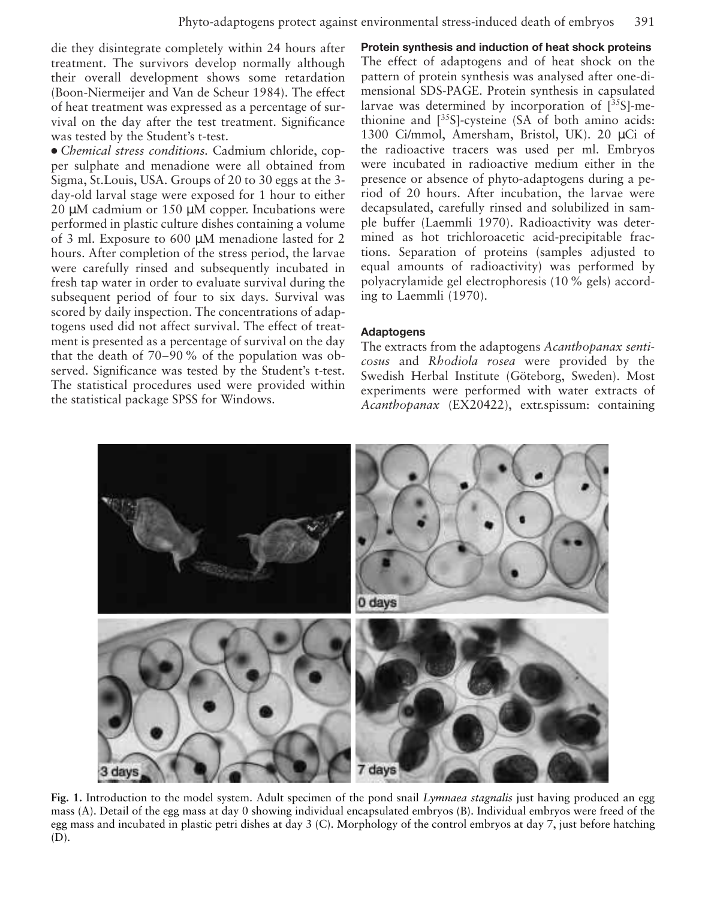die they disintegrate completely within 24 hours after treatment. The survivors develop normally although their overall development shows some retardation (Boon-Niermeijer and Van de Scheur 1984). The effect of heat treatment was expressed as a percentage of survival on the day after the test treatment. Significance was tested by the Student's t-test.

● *Chemical stress conditions.* Cadmium chloride, copper sulphate and menadione were all obtained from Sigma, St.Louis, USA. Groups of 20 to 30 eggs at the 3 day-old larval stage were exposed for 1 hour to either 20 µM cadmium or 150 µM copper. Incubations were performed in plastic culture dishes containing a volume of 3 ml. Exposure to 600 µM menadione lasted for 2 hours. After completion of the stress period, the larvae were carefully rinsed and subsequently incubated in fresh tap water in order to evaluate survival during the subsequent period of four to six days. Survival was scored by daily inspection. The concentrations of adaptogens used did not affect survival. The effect of treatment is presented as a percentage of survival on the day that the death of 70–90 % of the population was observed. Significance was tested by the Student's t-test. The statistical procedures used were provided within the statistical package SPSS for Windows.

**Protein synthesis and induction of heat shock proteins** The effect of adaptogens and of heat shock on the pattern of protein synthesis was analysed after one-dimensional SDS-PAGE. Protein synthesis in capsulated larvae was determined by incorporation of  $[^{35}S]$ -methionine and  $[35S]$ -cysteine (SA of both amino acids: 1300 Ci/mmol, Amersham, Bristol, UK). 20 µCi of the radioactive tracers was used per ml. Embryos were incubated in radioactive medium either in the presence or absence of phyto-adaptogens during a period of 20 hours. After incubation, the larvae were decapsulated, carefully rinsed and solubilized in sample buffer (Laemmli 1970). Radioactivity was determined as hot trichloroacetic acid-precipitable fractions. Separation of proteins (samples adjusted to equal amounts of radioactivity) was performed by polyacrylamide gel electrophoresis (10 % gels) according to Laemmli (1970).

#### **Adaptogens**

The extracts from the adaptogens *Acanthopanax senticosus* and *Rhodiola rosea* were provided by the Swedish Herbal Institute (Göteborg, Sweden). Most experiments were performed with water extracts of *Acanthopanax* (EX20422), extr.spissum: containing



**Fig. 1.** Introduction to the model system. Adult specimen of the pond snail *Lymnaea stagnalis* just having produced an egg mass (A). Detail of the egg mass at day 0 showing individual encapsulated embryos (B). Individual embryos were freed of the egg mass and incubated in plastic petri dishes at day 3 (C). Morphology of the control embryos at day 7, just before hatching (D).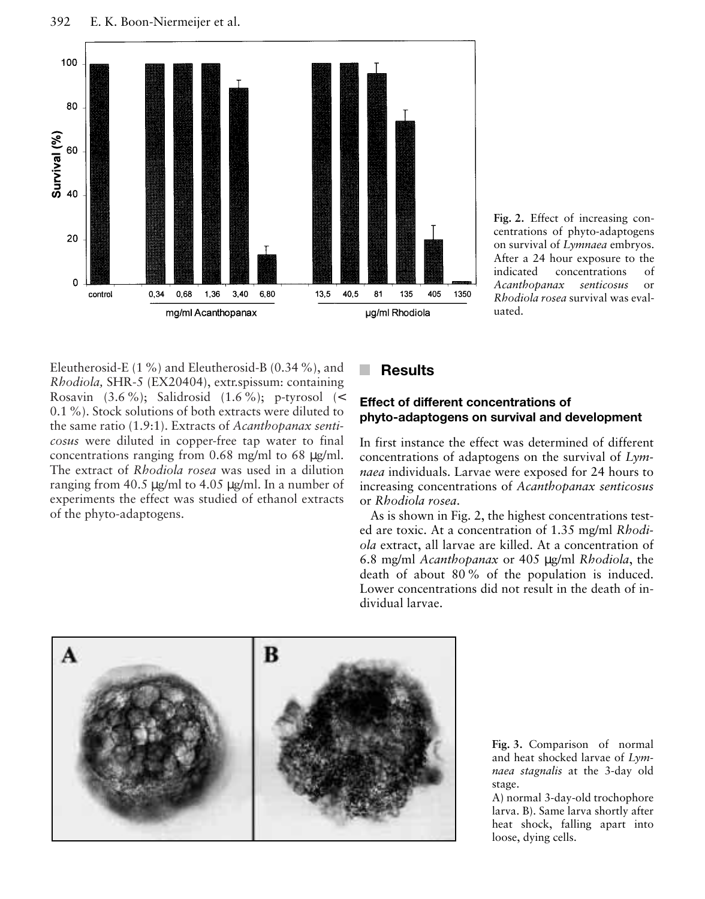

**Fig. 2.** Effect of increasing concentrations of phyto-adaptogens on survival of *Lymnaea* embryos. After a 24 hour exposure to the indicated concentrations of *Acanthopanax senticosus* or *Rhodiola rosea* survival was evaluated.

Eleutherosid-E (1 %) and Eleutherosid-B (0.34 %), and *Rhodiola,* SHR-5 (EX20404), extr.spissum: containing Rosavin  $(3.6\%)$ ; Salidrosid  $(1.6\%)$ ; p-tyrosol  $\le$ 0.1 %). Stock solutions of both extracts were diluted to the same ratio (1.9:1). Extracts of *Acanthopanax senticosus* were diluted in copper-free tap water to final concentrations ranging from 0.68 mg/ml to 68 µg/ml. The extract of *Rhodiola rosea* was used in a dilution ranging from 40.5 µg/ml to 4.05 µg/ml. In a number of experiments the effect was studied of ethanol extracts of the phyto-adaptogens.

# **Results**

#### **Effect of different concentrations of phyto-adaptogens on survival and development**

In first instance the effect was determined of different concentrations of adaptogens on the survival of *Lymnaea* individuals. Larvae were exposed for 24 hours to increasing concentrations of *Acanthopanax senticosus* or *Rhodiola rosea*.

As is shown in Fig. 2, the highest concentrations tested are toxic. At a concentration of 1.35 mg/ml *Rhodiola* extract, all larvae are killed. At a concentration of 6.8 mg/ml *Acanthopanax* or 405 µg/ml *Rhodiola*, the death of about 80 % of the population is induced. Lower concentrations did not result in the death of individual larvae.



**Fig. 3.** Comparison of normal and heat shocked larvae of *Lymnaea stagnalis* at the 3-day old stage.

A) normal 3-day-old trochophore larva. B). Same larva shortly after heat shock, falling apart into loose, dying cells.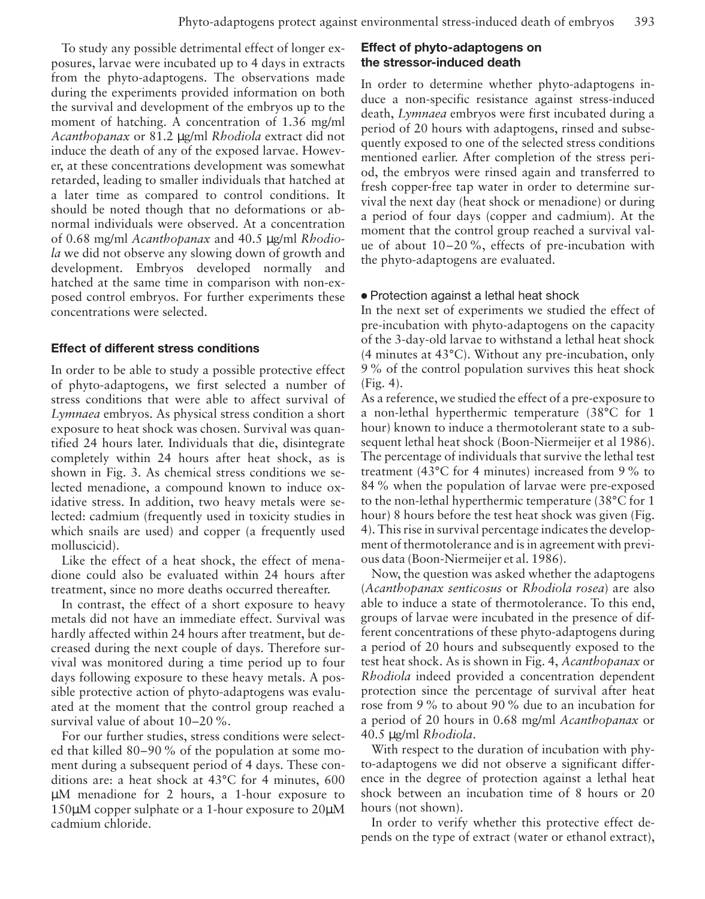To study any possible detrimental effect of longer exposures, larvae were incubated up to 4 days in extracts from the phyto-adaptogens. The observations made during the experiments provided information on both the survival and development of the embryos up to the moment of hatching. A concentration of 1.36 mg/ml *Acanthopanax* or 81.2 µg/ml *Rhodiola* extract did not induce the death of any of the exposed larvae. However, at these concentrations development was somewhat retarded, leading to smaller individuals that hatched at a later time as compared to control conditions. It should be noted though that no deformations or abnormal individuals were observed. At a concentration of 0.68 mg/ml *Acanthopanax* and 40.5 µg/ml *Rhodiola* we did not observe any slowing down of growth and development. Embryos developed normally and hatched at the same time in comparison with non-exposed control embryos. For further experiments these concentrations were selected.

### **Effect of different stress conditions**

In order to be able to study a possible protective effect of phyto-adaptogens, we first selected a number of stress conditions that were able to affect survival of *Lymnaea* embryos. As physical stress condition a short exposure to heat shock was chosen. Survival was quantified 24 hours later. Individuals that die, disintegrate completely within 24 hours after heat shock, as is shown in Fig. 3. As chemical stress conditions we selected menadione, a compound known to induce oxidative stress. In addition, two heavy metals were selected: cadmium (frequently used in toxicity studies in which snails are used) and copper (a frequently used molluscicid).

Like the effect of a heat shock, the effect of menadione could also be evaluated within 24 hours after treatment, since no more deaths occurred thereafter.

In contrast, the effect of a short exposure to heavy metals did not have an immediate effect. Survival was hardly affected within 24 hours after treatment, but decreased during the next couple of days. Therefore survival was monitored during a time period up to four days following exposure to these heavy metals. A possible protective action of phyto-adaptogens was evaluated at the moment that the control group reached a survival value of about 10–20 %.

For our further studies, stress conditions were selected that killed 80–90 % of the population at some moment during a subsequent period of 4 days. These conditions are: a heat shock at 43°C for 4 minutes, 600 µM menadione for 2 hours, a 1-hour exposure to 150µM copper sulphate or a 1-hour exposure to 20µM cadmium chloride.

#### **Effect of phyto-adaptogens on the stressor-induced death**

In order to determine whether phyto-adaptogens induce a non-specific resistance against stress-induced death, *Lymnaea* embryos were first incubated during a period of 20 hours with adaptogens, rinsed and subsequently exposed to one of the selected stress conditions mentioned earlier. After completion of the stress period, the embryos were rinsed again and transferred to fresh copper-free tap water in order to determine survival the next day (heat shock or menadione) or during a period of four days (copper and cadmium). At the moment that the control group reached a survival value of about 10–20 %, effects of pre-incubation with the phyto-adaptogens are evaluated.

#### ● Protection against a lethal heat shock

In the next set of experiments we studied the effect of pre-incubation with phyto-adaptogens on the capacity of the 3-day-old larvae to withstand a lethal heat shock (4 minutes at 43°C). Without any pre-incubation, only 9 % of the control population survives this heat shock (Fig. 4).

As a reference, we studied the effect of a pre-exposure to a non-lethal hyperthermic temperature (38°C for 1 hour) known to induce a thermotolerant state to a subsequent lethal heat shock (Boon-Niermeijer et al 1986). The percentage of individuals that survive the lethal test treatment (43°C for 4 minutes) increased from 9 % to 84 % when the population of larvae were pre-exposed to the non-lethal hyperthermic temperature (38°C for 1 hour) 8 hours before the test heat shock was given (Fig. 4). This rise in survival percentage indicates the development of thermotolerance and is in agreement with previous data (Boon-Niermeijer et al. 1986).

Now, the question was asked whether the adaptogens (*Acanthopanax senticosus* or *Rhodiola rosea*) are also able to induce a state of thermotolerance. To this end, groups of larvae were incubated in the presence of different concentrations of these phyto-adaptogens during a period of 20 hours and subsequently exposed to the test heat shock. As is shown in Fig. 4, *Acanthopanax* or *Rhodiola* indeed provided a concentration dependent protection since the percentage of survival after heat rose from 9 % to about 90 % due to an incubation for a period of 20 hours in 0.68 mg/ml *Acanthopanax* or 40.5 µg/ml *Rhodiola*.

With respect to the duration of incubation with phyto-adaptogens we did not observe a significant difference in the degree of protection against a lethal heat shock between an incubation time of 8 hours or 20 hours (not shown).

In order to verify whether this protective effect depends on the type of extract (water or ethanol extract),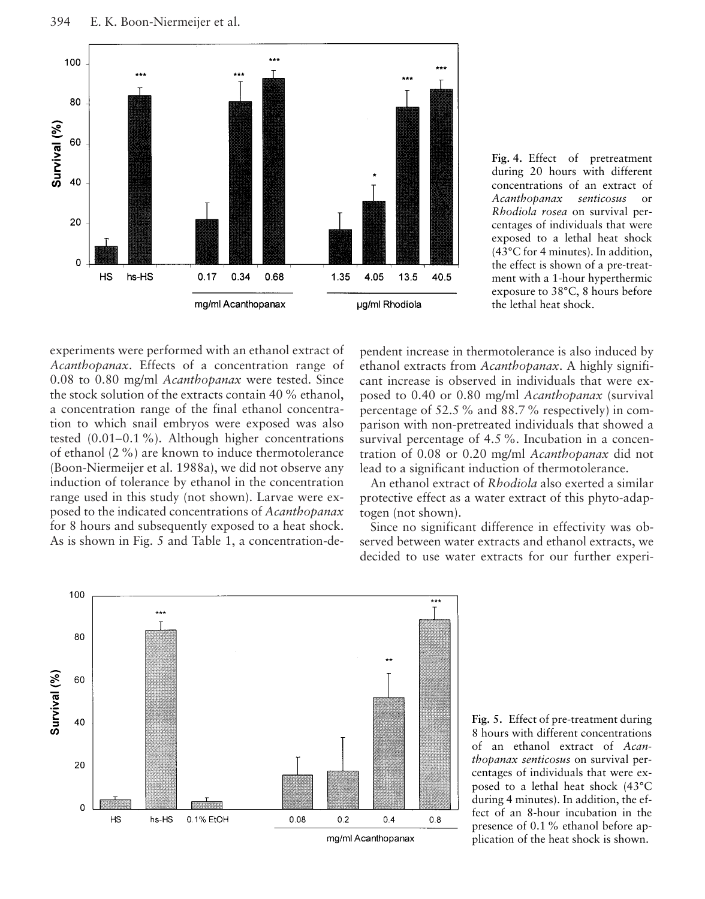

**Fig. 4.** Effect of pretreatment during 20 hours with different concentrations of an extract of *Acanthopanax senticosus* or *Rhodiola rosea* on survival percentages of individuals that were exposed to a lethal heat shock (43°C for 4 minutes). In addition, the effect is shown of a pre-treatment with a 1-hour hyperthermic exposure to 38°C, 8 hours before the lethal heat shock.

experiments were performed with an ethanol extract of *Acanthopanax*. Effects of a concentration range of 0.08 to 0.80 mg/ml *Acanthopanax* were tested. Since the stock solution of the extracts contain 40 % ethanol, a concentration range of the final ethanol concentration to which snail embryos were exposed was also tested (0.01–0.1 %). Although higher concentrations of ethanol (2 %) are known to induce thermotolerance (Boon-Niermeijer et al. 1988a), we did not observe any induction of tolerance by ethanol in the concentration range used in this study (not shown). Larvae were exposed to the indicated concentrations of *Acanthopanax* for 8 hours and subsequently exposed to a heat shock. As is shown in Fig. 5 and Table 1, a concentration-dependent increase in thermotolerance is also induced by ethanol extracts from *Acanthopanax*. A highly significant increase is observed in individuals that were exposed to 0.40 or 0.80 mg/ml *Acanthopanax* (survival percentage of 52.5 % and 88.7 % respectively) in comparison with non-pretreated individuals that showed a survival percentage of 4.5 %. Incubation in a concentration of 0.08 or 0.20 mg/ml *Acanthopanax* did not lead to a significant induction of thermotolerance.

An ethanol extract of *Rhodiola* also exerted a similar protective effect as a water extract of this phyto-adaptogen (not shown).

Since no significant difference in effectivity was observed between water extracts and ethanol extracts, we decided to use water extracts for our further experi-



**Fig. 5.** Effect of pre-treatment during 8 hours with different concentrations of an ethanol extract of *Acanthopanax senticosus* on survival percentages of individuals that were exposed to a lethal heat shock (43°C during 4 minutes). In addition, the effect of an 8-hour incubation in the presence of 0.1 % ethanol before application of the heat shock is shown.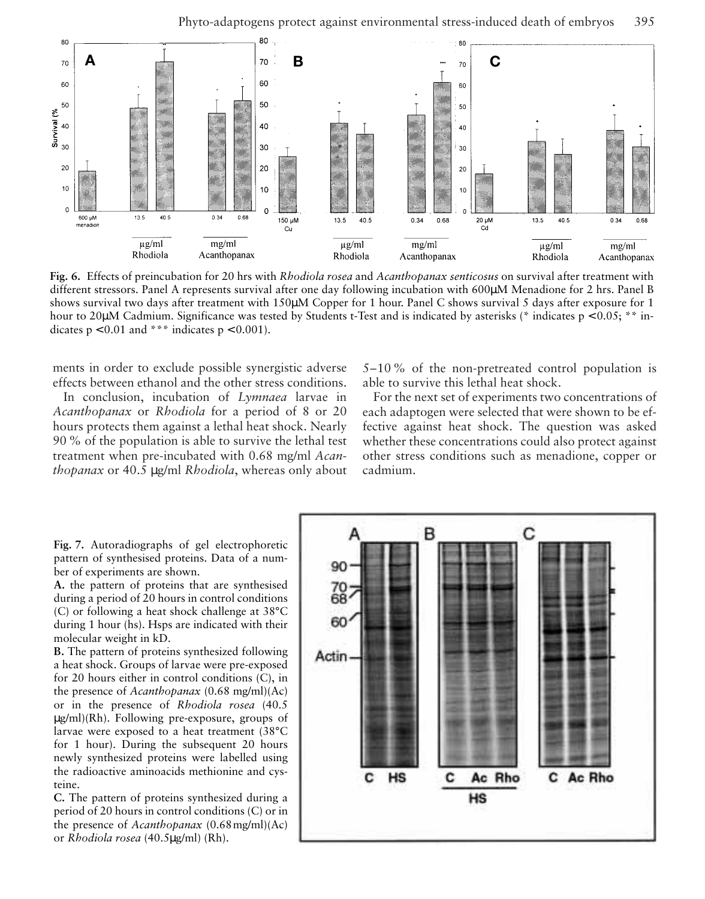

**Fig. 6.** Effects of preincubation for 20 hrs with *Rhodiola rosea* and *Acanthopanax senticosus* on survival after treatment with different stressors. Panel A represents survival after one day following incubation with 600µM Menadione for 2 hrs. Panel B shows survival two days after treatment with 150µM Copper for 1 hour. Panel C shows survival 5 days after exposure for 1 hour to 20µM Cadmium. Significance was tested by Students t-Test and is indicated by asterisks (\* indicates p < 0.05; \*\* indicates  $p < 0.01$  and \*\*\* indicates  $p < 0.001$ ).

ments in order to exclude possible synergistic adverse effects between ethanol and the other stress conditions.

In conclusion, incubation of *Lymnaea* larvae in *Acanthopanax* or *Rhodiola* for a period of 8 or 20 hours protects them against a lethal heat shock. Nearly 90 % of the population is able to survive the lethal test treatment when pre-incubated with 0.68 mg/ml *Acanthopanax* or 40.5 µg/ml *Rhodiola*, whereas only about

5–10 % of the non-pretreated control population is able to survive this lethal heat shock.

For the next set of experiments two concentrations of each adaptogen were selected that were shown to be effective against heat shock. The question was asked whether these concentrations could also protect against other stress conditions such as menadione, copper or cadmium.

**Fig. 7.** Autoradiographs of gel electrophoretic pattern of synthesised proteins. Data of a number of experiments are shown.

**A.** the pattern of proteins that are synthesised during a period of 20 hours in control conditions (C) or following a heat shock challenge at 38°C during 1 hour (hs). Hsps are indicated with their molecular weight in kD.

**B.** The pattern of proteins synthesized following a heat shock. Groups of larvae were pre-exposed for 20 hours either in control conditions (C), in the presence of *Acanthopanax* (0.68 mg/ml)(Ac) or in the presence of *Rhodiola rosea* (40.5 µg/ml)(Rh). Following pre-exposure, groups of larvae were exposed to a heat treatment (38°C for 1 hour). During the subsequent 20 hours newly synthesized proteins were labelled using the radioactive aminoacids methionine and cysteine.

**C.** The pattern of proteins synthesized during a period of 20 hours in control conditions (C) or in the presence of *Acanthopanax* (0.68mg/ml)(Ac) or *Rhodiola rosea* (40.5µg/ml) (Rh).

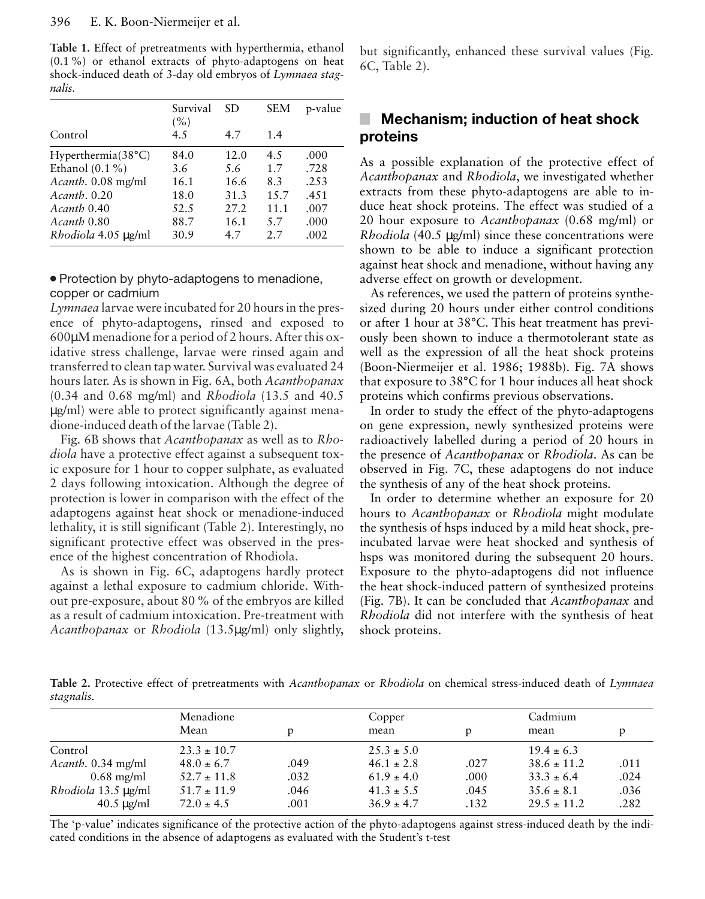**Table 1.** Effect of pretreatments with hyperthermia, ethanol (0.1 %) or ethanol extracts of phyto-adaptogens on heat shock-induced death of 3-day old embryos of *Lymnaea stagnalis.*

|                                   | Survival<br>(%) | SD   | <b>SEM</b> | p-value |
|-----------------------------------|-----------------|------|------------|---------|
| Control                           | 4.5             | 4.7  | 1.4        |         |
| Hyperthermia(38°C)                | 84.0            | 12.0 | 4.5        | .000    |
| Ethanol $(0.1\%)$                 | 3.6             | 5.6  | 1.7        | .728    |
| Acanth. 0.08 mg/ml                | 16.1            | 16.6 | 8.3        | .253    |
| $A\text{ }c$ <i>anth</i> . $0.20$ | 18.0            | 31.3 | 15.7       | .451    |
| Acanth 0.40                       | 52.5            | 27.2 | 11.1       | .007    |
| Acanth 0.80                       | 88.7            | 16.1 | 5.7        | .000    |
| Rhodiola 4.05 µg/ml               | 30.9            | 4.7  | 2.7        | .002    |

#### • Protection by phyto-adaptogens to menadione, copper or cadmium

*Lymnaea* larvae were incubated for 20 hours in the presence of phyto-adaptogens, rinsed and exposed to 600µM menadione for a period of 2 hours. After this oxidative stress challenge, larvae were rinsed again and transferred to clean tap water. Survival was evaluated 24 hours later. As is shown in Fig. 6A, both *Acanthopanax* (0.34 and 0.68 mg/ml) and *Rhodiola* (13.5 and 40.5 µg/ml) were able to protect significantly against menadione-induced death of the larvae (Table 2).

Fig. 6B shows that *Acanthopanax* as well as to *Rhodiola* have a protective effect against a subsequent toxic exposure for 1 hour to copper sulphate, as evaluated 2 days following intoxication. Although the degree of protection is lower in comparison with the effect of the adaptogens against heat shock or menadione-induced lethality, it is still significant (Table 2). Interestingly, no significant protective effect was observed in the presence of the highest concentration of Rhodiola.

As is shown in Fig. 6C, adaptogens hardly protect against a lethal exposure to cadmium chloride. Without pre-exposure, about 80 % of the embryos are killed as a result of cadmium intoxication. Pre-treatment with *Acanthopanax* or *Rhodiola* (13.5µg/ml) only slightly, but significantly, enhanced these survival values (Fig. 6C, Table 2).

# **Mechanism; induction of heat shock proteins**

As a possible explanation of the protective effect of *Acanthopanax* and *Rhodiola*, we investigated whether extracts from these phyto-adaptogens are able to induce heat shock proteins. The effect was studied of a 20 hour exposure to *Acanthopanax* (0.68 mg/ml) or *Rhodiola* (40.5 µg/ml) since these concentrations were shown to be able to induce a significant protection against heat shock and menadione, without having any adverse effect on growth or development.

As references, we used the pattern of proteins synthesized during 20 hours under either control conditions or after 1 hour at 38°C. This heat treatment has previously been shown to induce a thermotolerant state as well as the expression of all the heat shock proteins (Boon-Niermeijer et al. 1986; 1988b). Fig. 7A shows that exposure to 38°C for 1 hour induces all heat shock proteins which confirms previous observations.

In order to study the effect of the phyto-adaptogens on gene expression, newly synthesized proteins were radioactively labelled during a period of 20 hours in the presence of *Acanthopanax* or *Rhodiola*. As can be observed in Fig. 7C, these adaptogens do not induce the synthesis of any of the heat shock proteins.

In order to determine whether an exposure for 20 hours to *Acanthopanax* or *Rhodiola* might modulate the synthesis of hsps induced by a mild heat shock, preincubated larvae were heat shocked and synthesis of hsps was monitored during the subsequent 20 hours. Exposure to the phyto-adaptogens did not influence the heat shock-induced pattern of synthesized proteins (Fig. 7B). It can be concluded that *Acanthopanax* and *Rhodiola* did not interfere with the synthesis of heat shock proteins.

**Table 2.** Protective effect of pretreatments with *Acanthopanax* or *Rhodiola* on chemical stress-induced death of *Lymnaea stagnalis.*

|                      | Menadione       |      | Copper         |      | Cadmium         |      |
|----------------------|-----------------|------|----------------|------|-----------------|------|
|                      | Mean            |      | mean           | D    | mean            |      |
| Control              | $23.3 \pm 10.7$ |      | $25.3 \pm 5.0$ |      | $19.4 \pm 6.3$  |      |
| Acanth. 0.34 mg/ml   | $48.0 \pm 6.7$  | .049 | $46.1 \pm 2.8$ | .027 | $38.6 \pm 11.2$ | .011 |
| $0.68$ mg/ml         | $52.7 \pm 11.8$ | .032 | $61.9 \pm 4.0$ | .000 | $33.3 \pm 6.4$  | .024 |
| Rhodiola 13.5 µg/ml  | $51.7 \pm 11.9$ | .046 | $41.3 \pm 5.5$ | .045 | $35.6 \pm 8.1$  | .036 |
| $40.5 \text{ µg/ml}$ | $72.0 \pm 4.5$  | .001 | $36.9 \pm 4.7$ | .132 | $29.5 \pm 11.2$ | .282 |

The 'p-value' indicates significance of the protective action of the phyto-adaptogens against stress-induced death by the indicated conditions in the absence of adaptogens as evaluated with the Student's t-test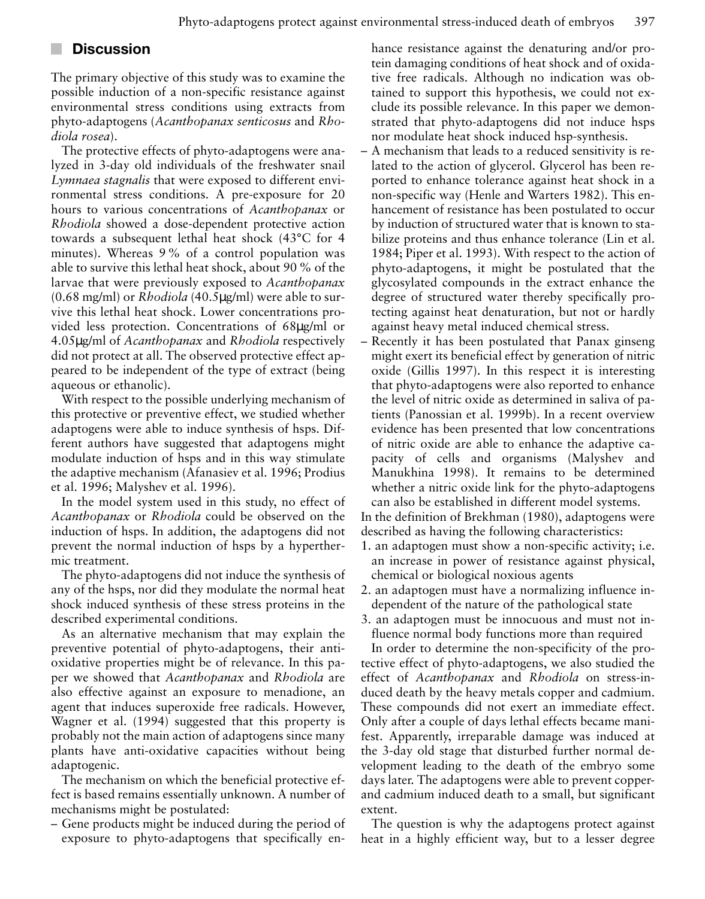# **Discussion**

The primary objective of this study was to examine the possible induction of a non-specific resistance against environmental stress conditions using extracts from phyto-adaptogens (*Acanthopanax senticosus* and *Rhodiola rosea*).

The protective effects of phyto-adaptogens were analyzed in 3-day old individuals of the freshwater snail *Lymnaea stagnalis* that were exposed to different environmental stress conditions. A pre-exposure for 20 hours to various concentrations of *Acanthopanax* or *Rhodiola* showed a dose-dependent protective action towards a subsequent lethal heat shock (43°C for 4 minutes). Whereas 9 % of a control population was able to survive this lethal heat shock, about 90 % of the larvae that were previously exposed to *Acanthopanax* (0.68 mg/ml) or *Rhodiola* (40.5µg/ml) were able to survive this lethal heat shock. Lower concentrations provided less protection. Concentrations of 68µg/ml or 4.05µg/ml of *Acanthopanax* and *Rhodiola* respectively did not protect at all. The observed protective effect appeared to be independent of the type of extract (being aqueous or ethanolic).

With respect to the possible underlying mechanism of this protective or preventive effect, we studied whether adaptogens were able to induce synthesis of hsps. Different authors have suggested that adaptogens might modulate induction of hsps and in this way stimulate the adaptive mechanism (Afanasiev et al. 1996; Prodius et al. 1996; Malyshev et al. 1996).

In the model system used in this study, no effect of *Acanthopanax* or *Rhodiola* could be observed on the induction of hsps. In addition, the adaptogens did not prevent the normal induction of hsps by a hyperthermic treatment.

The phyto-adaptogens did not induce the synthesis of any of the hsps, nor did they modulate the normal heat shock induced synthesis of these stress proteins in the described experimental conditions.

As an alternative mechanism that may explain the preventive potential of phyto-adaptogens, their antioxidative properties might be of relevance. In this paper we showed that *Acanthopanax* and *Rhodiola* are also effective against an exposure to menadione, an agent that induces superoxide free radicals. However, Wagner et al. (1994) suggested that this property is probably not the main action of adaptogens since many plants have anti-oxidative capacities without being adaptogenic.

The mechanism on which the beneficial protective effect is based remains essentially unknown. A number of mechanisms might be postulated:

– Gene products might be induced during the period of exposure to phyto-adaptogens that specifically enhance resistance against the denaturing and/or protein damaging conditions of heat shock and of oxidative free radicals. Although no indication was obtained to support this hypothesis, we could not exclude its possible relevance. In this paper we demonstrated that phyto-adaptogens did not induce hsps nor modulate heat shock induced hsp-synthesis.

- A mechanism that leads to a reduced sensitivity is related to the action of glycerol. Glycerol has been reported to enhance tolerance against heat shock in a non-specific way (Henle and Warters 1982). This enhancement of resistance has been postulated to occur by induction of structured water that is known to stabilize proteins and thus enhance tolerance (Lin et al. 1984; Piper et al. 1993). With respect to the action of phyto-adaptogens, it might be postulated that the glycosylated compounds in the extract enhance the degree of structured water thereby specifically protecting against heat denaturation, but not or hardly against heavy metal induced chemical stress.
- Recently it has been postulated that Panax ginseng might exert its beneficial effect by generation of nitric oxide (Gillis 1997). In this respect it is interesting that phyto-adaptogens were also reported to enhance the level of nitric oxide as determined in saliva of patients (Panossian et al. 1999b). In a recent overview evidence has been presented that low concentrations of nitric oxide are able to enhance the adaptive capacity of cells and organisms (Malyshev and Manukhina 1998). It remains to be determined whether a nitric oxide link for the phyto-adaptogens can also be established in different model systems.

In the definition of Brekhman (1980), adaptogens were described as having the following characteristics:

- 1. an adaptogen must show a non-specific activity; i.e. an increase in power of resistance against physical, chemical or biological noxious agents
- 2. an adaptogen must have a normalizing influence independent of the nature of the pathological state
- 3. an adaptogen must be innocuous and must not influence normal body functions more than required

In order to determine the non-specificity of the protective effect of phyto-adaptogens, we also studied the effect of *Acanthopanax* and *Rhodiola* on stress-induced death by the heavy metals copper and cadmium. These compounds did not exert an immediate effect. Only after a couple of days lethal effects became manifest. Apparently, irreparable damage was induced at the 3-day old stage that disturbed further normal development leading to the death of the embryo some days later. The adaptogens were able to prevent copperand cadmium induced death to a small, but significant extent.

The question is why the adaptogens protect against heat in a highly efficient way, but to a lesser degree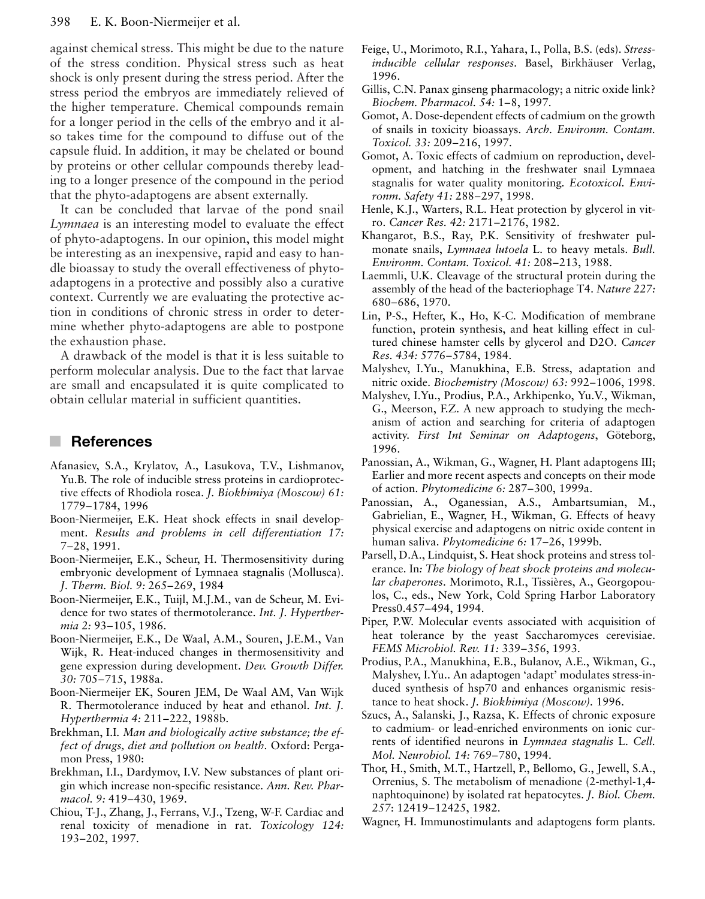against chemical stress. This might be due to the nature of the stress condition. Physical stress such as heat shock is only present during the stress period. After the stress period the embryos are immediately relieved of the higher temperature. Chemical compounds remain for a longer period in the cells of the embryo and it also takes time for the compound to diffuse out of the capsule fluid. In addition, it may be chelated or bound by proteins or other cellular compounds thereby leading to a longer presence of the compound in the period that the phyto-adaptogens are absent externally.

It can be concluded that larvae of the pond snail *Lymnaea* is an interesting model to evaluate the effect of phyto-adaptogens. In our opinion, this model might be interesting as an inexpensive, rapid and easy to handle bioassay to study the overall effectiveness of phytoadaptogens in a protective and possibly also a curative context. Currently we are evaluating the protective action in conditions of chronic stress in order to determine whether phyto-adaptogens are able to postpone the exhaustion phase.

A drawback of the model is that it is less suitable to perform molecular analysis. Due to the fact that larvae are small and encapsulated it is quite complicated to obtain cellular material in sufficient quantities.

#### × **References**

- Afanasiev, S.A., Krylatov, A., Lasukova, T.V., Lishmanov, Yu.B. The role of inducible stress proteins in cardioprotective effects of Rhodiola rosea. *J. Biokhimiya (Moscow) 61:* 1779–1784, 1996
- Boon-Niermeijer, E.K. Heat shock effects in snail development. *Results and problems in cell differentiation 17:* 7–28, 1991.
- Boon-Niermeijer, E.K., Scheur, H. Thermosensitivity during embryonic development of Lymnaea stagnalis (Mollusca). *J. Therm. Biol. 9:* 265–269, 1984
- Boon-Niermeijer, E.K., Tuijl, M.J.M., van de Scheur, M. Evidence for two states of thermotolerance. *Int. J. Hyperthermia 2:* 93–105, 1986.
- Boon-Niermeijer, E.K., De Waal, A.M., Souren, J.E.M., Van Wijk, R. Heat-induced changes in thermosensitivity and gene expression during development. *Dev. Growth Differ. 30:* 705–715, 1988a.
- Boon-Niermeijer EK, Souren JEM, De Waal AM, Van Wijk R. Thermotolerance induced by heat and ethanol. *Int. J. Hyperthermia 4:* 211–222, 1988b.
- Brekhman, I.I*. Man and biologically active substance; the effect of drugs, diet and pollution on health.* Oxford: Pergamon Press, 1980:
- Brekhman, I.I., Dardymov, I.V. New substances of plant origin which increase non-specific resistance. *Ann. Rev. Pharmacol. 9:* 419–430, 1969.
- Chiou, T-J., Zhang, J., Ferrans, V.J., Tzeng, W-F. Cardiac and renal toxicity of menadione in rat. *Toxicology 124:* 193–202, 1997.
- Feige, U., Morimoto, R.I., Yahara, I., Polla, B.S. (eds). *Stressinducible cellular responses*. Basel, Birkhäuser Verlag, 1996.
- Gillis, C.N. Panax ginseng pharmacology; a nitric oxide link? *Biochem. Pharmacol. 54:* 1–8, 1997.
- Gomot, A. Dose-dependent effects of cadmium on the growth of snails in toxicity bioassays. *Arch. Environm. Contam. Toxicol. 33:* 209–216, 1997.
- Gomot, A. Toxic effects of cadmium on reproduction, development, and hatching in the freshwater snail Lymnaea stagnalis for water quality monitoring*. Ecotoxicol. Environm. Safety 41:* 288–297, 1998.
- Henle, K.J., Warters, R.L. Heat protection by glycerol in vitro. *Cancer Res. 42:* 2171–2176, 1982.
- Khangarot, B.S., Ray, P.K. Sensitivity of freshwater pulmonate snails, *Lymnaea lutoela* L. to heavy metals. *Bull. Environm. Contam. Toxicol. 41:* 208–213, 1988.
- Laemmli, U.K. Cleavage of the structural protein during the assembly of the head of the bacteriophage T4. *Nature 227:* 680–686, 1970.
- Lin, P-S., Hefter, K., Ho, K-C. Modification of membrane function, protein synthesis, and heat killing effect in cultured chinese hamster cells by glycerol and D2O. *Cancer Res. 434:* 5776–5784, 1984.
- Malyshev, I.Yu., Manukhina, E.B. Stress, adaptation and nitric oxide. *Biochemistry (Moscow) 63:* 992–1006, 1998.
- Malyshev, I.Yu., Prodius, P.A., Arkhipenko, Yu.V., Wikman, G., Meerson, F.Z. A new approach to studying the mechanism of action and searching for criteria of adaptogen activity. *First Int Seminar on Adaptogens*, Göteborg, 1996.
- Panossian, A., Wikman, G., Wagner, H. Plant adaptogens III; Earlier and more recent aspects and concepts on their mode of action. *Phytomedicine 6:* 287–300, 1999a.
- Panossian, A., Oganessian, A.S., Ambartsumian, M., Gabrielian, E., Wagner, H., Wikman, G. Effects of heavy physical exercise and adaptogens on nitric oxide content in human saliva. *Phytomedicine 6:* 17–26, 1999b.
- Parsell, D.A., Lindquist, S. Heat shock proteins and stress tolerance. In*: The biology of heat shock proteins and molecular chaperones*. Morimoto, R.I., Tissières, A., Georgopoulos, C., eds., New York, Cold Spring Harbor Laboratory Press0.457–494, 1994.
- Piper, P.W. Molecular events associated with acquisition of heat tolerance by the yeast Saccharomyces cerevisiae. *FEMS Microbiol. Rev. 11:* 339–356, 1993.
- Prodius, P.A., Manukhina, E.B., Bulanov, A.E., Wikman, G., Malyshev, I.Yu.. An adaptogen 'adapt' modulates stress-induced synthesis of hsp70 and enhances organismic resistance to heat shock. *J. Biokhimiya (Moscow).* 1996.
- Szucs, A., Salanski, J., Razsa, K. Effects of chronic exposure to cadmium- or lead-enriched environments on ionic currents of identified neurons in *Lymnaea stagnalis* L. *Cell. Mol. Neurobiol. 14:* 769–780, 1994.
- Thor, H., Smith, M.T., Hartzell, P., Bellomo, G., Jewell, S.A., Orrenius, S. The metabolism of menadione (2-methyl-1,4 naphtoquinone) by isolated rat hepatocytes. *J. Biol. Chem. 257*: 12419–12425, 1982.
- Wagner, H. Immunostimulants and adaptogens form plants.